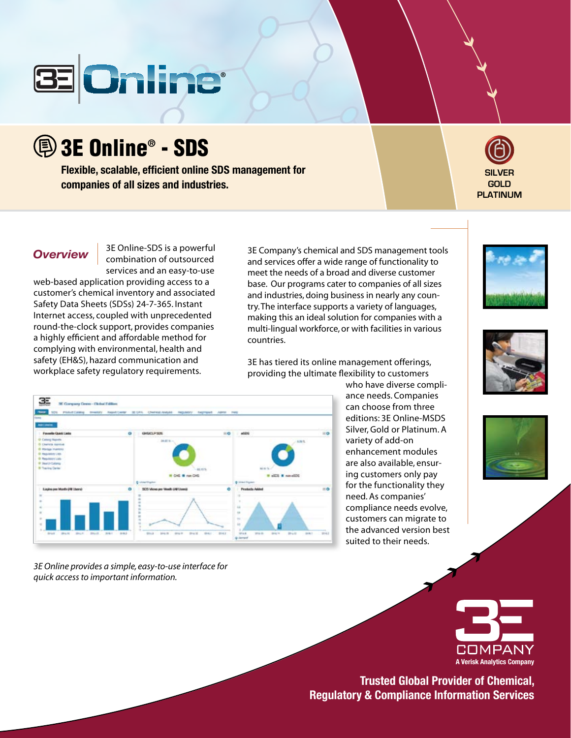

3E Online® - SDS

**Flexible, scalable, efficient online SDS management for companies of all sizes and industries.**



**Overview** 3E Online-SDS is a powerful combination of outsourced services and an easy-to-use

web-based application providing access to a customer's chemical inventory and associated Safety Data Sheets (SDSs) 24-7-365. Instant Internet access, coupled with unprecedented round-the-clock support, provides companies a highly efficient and affordable method for complying with environmental, health and safety (EH&S), hazard communication and workplace safety regulatory requirements.

3E Company's chemical and SDS management tools and services offer a wide range of functionality to meet the needs of a broad and diverse customer base. Our programs cater to companies of all sizes and industries, doing business in nearly any country. The interface supports a variety of languages, making this an ideal solution for companies with a multi-lingual workforce, or with facilities in various countries.

3E has tiered its online management offerings, providing the ultimate flexibility to customers

who have diverse compliance needs. Companies can choose from three editions: 3E Online-MSDS Silver, Gold or Platinum. A variety of add-on enhancement modules are also available, ensuring customers only pay for the functionality they need. As companies' compliance needs evolve, customers can migrate to the advanced version best suited to their needs.









**Trusted Global Provider of Chemical, Regulatory & Compliance Information Services**



*3E Online provides a simple, easy-to-use interface for quick access to important information.*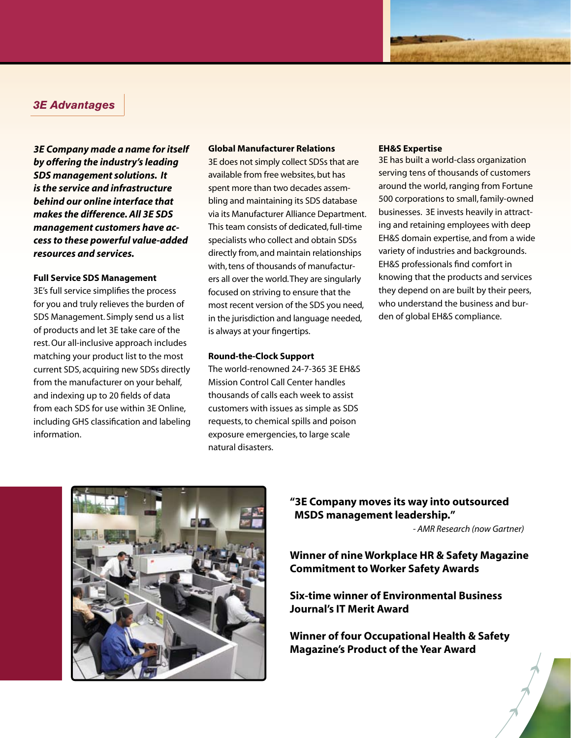## *3E Advantages*

*3E Company made a name for itself by offering the industry's leading SDS management solutions. It is the service and infrastructure behind our online interface that makes the difference. All 3E SDS management customers have access to these powerful value-added resources and services.*

#### **Full Service SDS Management**

3E's full service simplifies the process for you and truly relieves the burden of SDS Management. Simply send us a list of products and let 3E take care of the rest. Our all-inclusive approach includes matching your product list to the most current SDS, acquiring new SDSs directly from the manufacturer on your behalf, and indexing up to 20 fields of data from each SDS for use within 3E Online, including GHS classification and labeling information.

#### **Global Manufacturer Relations**

3E does not simply collect SDSs that are available from free websites, but has spent more than two decades assembling and maintaining its SDS database via its Manufacturer Alliance Department. This team consists of dedicated, full-time specialists who collect and obtain SDSs directly from, and maintain relationships with, tens of thousands of manufacturers all over the world. They are singularly focused on striving to ensure that the most recent version of the SDS you need, in the jurisdiction and language needed, is always at your fingertips.

#### **Round-the-Clock Support**

The world-renowned 24-7-365 3E EH&S Mission Control Call Center handles thousands of calls each week to assist customers with issues as simple as SDS requests, to chemical spills and poison exposure emergencies, to large scale natural disasters.

#### **EH&S Expertise**

3E has built a world-class organization serving tens of thousands of customers around the world, ranging from Fortune 500 corporations to small, family-owned businesses. 3E invests heavily in attracting and retaining employees with deep EH&S domain expertise, and from a wide variety of industries and backgrounds. EH&S professionals find comfort in knowing that the products and services they depend on are built by their peers, who understand the business and burden of global EH&S compliance.



## **"3E Company moves its way into outsourced MSDS management leadership."**

*- AMR Research (now Gartner)*

**Winner of nine Workplace HR & Safety Magazine Commitment to Worker Safety Awards**

**Six-time winner of Environmental Business Journal's IT Merit Award**

**Winner of four Occupational Health & Safety Magazine's Product of the Year Award**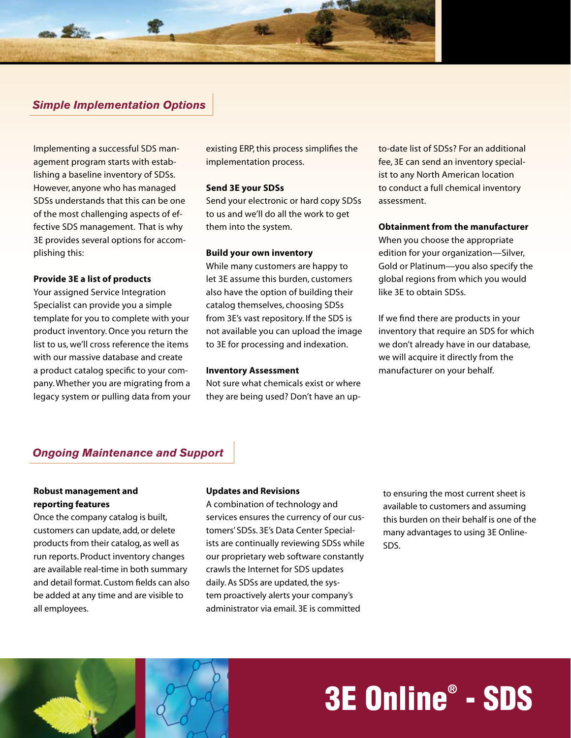

# *Simple Implementation Options*

Implementing a successful SDS management program starts with establishing a baseline inventory of SDSs. However, anyone who has managed SDSs understands that this can be one of the most challenging aspects of effective SDS management. That is why 3E provides several options for accomplishing this:

#### **Provide 3E a list of products**

Your assigned Service Integration Specialist can provide you a simple template for you to complete with your product inventory. Once you return the list to us, we'll cross reference the items with our massive database and create a product catalog specific to your company. Whether you are migrating from a legacy system or pulling data from your existing ERP, this process simplifies the implementation process.

#### **Send 3E your SDSs**

Send your electronic or hard copy SDSs to us and we'll do all the work to get them into the system.

#### **Build your own inventory**

While many customers are happy to let 3E assume this burden, customers also have the option of building their catalog themselves, choosing SDSs from 3E's vast repository. If the SDS is not available you can upload the image to 3E for processing and indexation.

#### **Inventory Assessment**

Not sure what chemicals exist or where they are being used? Don't have an upto-date list of SDSs? For an additional fee, 3E can send an inventory specialist to any North American location to conduct a full chemical inventory assessment.

#### **Obtainment from the manufacturer**

When you choose the appropriate edition for your organization—Silver, Gold or Platinum—you also specify the global regions from which you would like 3E to obtain SDSs.

If we find there are products in your inventory that require an SDS for which we don't already have in our database, we will acquire it directly from the manufacturer on your behalf.

# *Ongoing Maintenance and Support*

### **Robust management and reporting features**

Once the company catalog is built, customers can update, add, or delete products from their catalog, as well as run reports. Product inventory changes are available real-time in both summary and detail format. Custom fields can also be added at any time and are visible to all employees.

#### **Updates and Revisions**

A combination of technology and services ensures the currency of our customers' SDSs. 3E's Data Center Specialists are continually reviewing SDSs while our proprietary web software constantly crawls the Internet for SDS updates daily. As SDSs are updated, the system proactively alerts your company's administrator via email. 3E is committed

to ensuring the most current sheet is available to customers and assuming this burden on their behalf is one of the many advantages to using 3E Online-SDS.



# 3E Online® - SDS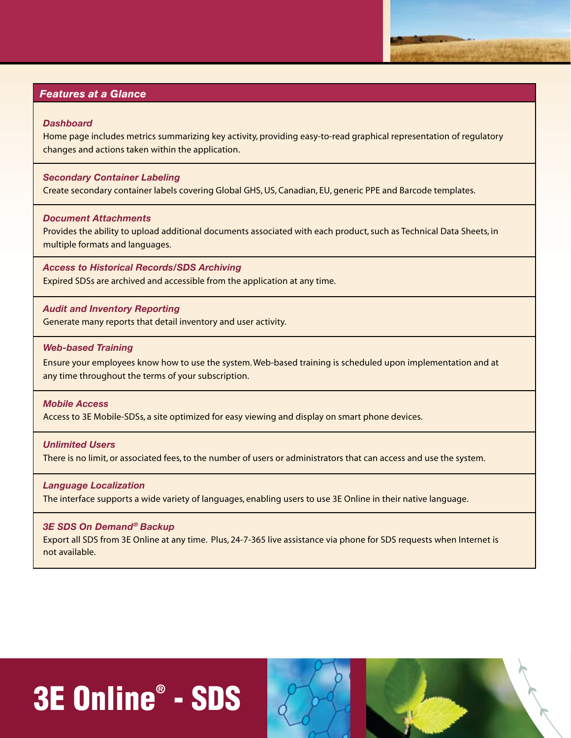## *Features at a Glance*

#### *Dashboard*

Home page includes metrics summarizing key activity, providing easy-to-read graphical representation of regulatory changes and actions taken within the application.

#### *Secondary Container Labeling*

Create secondary container labels covering Global GHS, US, Canadian, EU, generic PPE and Barcode templates.

#### *Document Attachments*

Provides the ability to upload additional documents associated with each product, such as Technical Data Sheets, in multiple formats and languages.

*Access to Historical Records/SDS Archiving* Expired SDSs are archived and accessible from the application at any time.

#### *Audit and Inventory Reporting*

Generate many reports that detail inventory and user activity.

#### *Web-based Training*

Ensure your employees know how to use the system. Web-based training is scheduled upon implementation and at any time throughout the terms of your subscription.

#### *Mobile Access*

Access to 3E Mobile-SDSs, a site optimized for easy viewing and display on smart phone devices.

#### *Unlimited Users*

There is no limit, or associated fees, to the number of users or administrators that can access and use the system.

#### *Language Localization*

The interface supports a wide variety of languages, enabling users to use 3E Online in their native language.

#### *3E SDS On Demand® Backup*

Export all SDS from 3E Online at any time. Plus, 24-7-365 live assistance via phone for SDS requests when Internet is not available.

# 3E Online® - SDS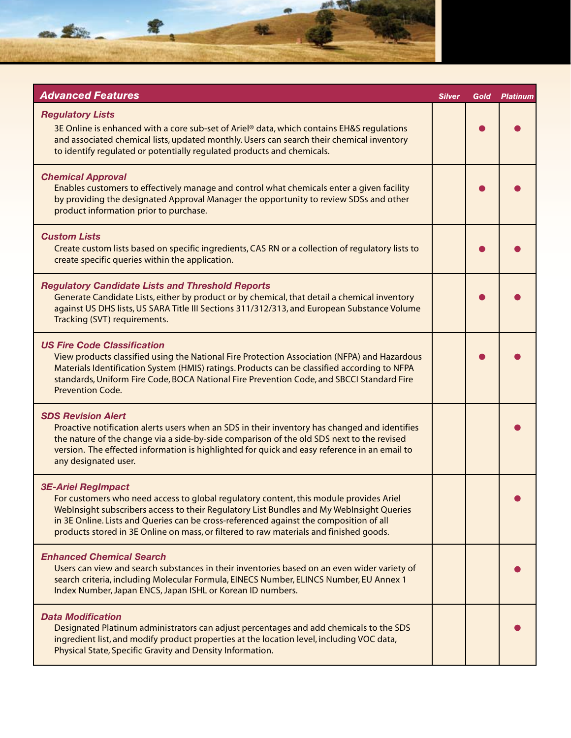

| <b>Advanced Features</b>                                                                                                                                                                                                                                                                                                                                                                            | <b>Silver</b> | Gold | <b>Platinum</b> |
|-----------------------------------------------------------------------------------------------------------------------------------------------------------------------------------------------------------------------------------------------------------------------------------------------------------------------------------------------------------------------------------------------------|---------------|------|-----------------|
| <b>Regulatory Lists</b><br>3E Online is enhanced with a core sub-set of Ariel® data, which contains EH&S regulations<br>and associated chemical lists, updated monthly. Users can search their chemical inventory<br>to identify regulated or potentially regulated products and chemicals.                                                                                                         |               |      |                 |
| <b>Chemical Approval</b><br>Enables customers to effectively manage and control what chemicals enter a given facility<br>by providing the designated Approval Manager the opportunity to review SDSs and other<br>product information prior to purchase.                                                                                                                                            |               |      |                 |
| <b>Custom Lists</b><br>Create custom lists based on specific ingredients, CAS RN or a collection of regulatory lists to<br>create specific queries within the application.                                                                                                                                                                                                                          |               |      |                 |
| <b>Regulatory Candidate Lists and Threshold Reports</b><br>Generate Candidate Lists, either by product or by chemical, that detail a chemical inventory<br>against US DHS lists, US SARA Title III Sections 311/312/313, and European Substance Volume<br>Tracking (SVT) requirements.                                                                                                              |               |      |                 |
| <b>US Fire Code Classification</b><br>View products classified using the National Fire Protection Association (NFPA) and Hazardous<br>Materials Identification System (HMIS) ratings. Products can be classified according to NFPA<br>standards, Uniform Fire Code, BOCA National Fire Prevention Code, and SBCCI Standard Fire<br><b>Prevention Code.</b>                                          |               |      |                 |
| <b>SDS Revision Alert</b><br>Proactive notification alerts users when an SDS in their inventory has changed and identifies<br>the nature of the change via a side-by-side comparison of the old SDS next to the revised<br>version. The effected information is highlighted for quick and easy reference in an email to<br>any designated user.                                                     |               |      |                 |
| <b>3E-Ariel RegImpact</b><br>For customers who need access to global regulatory content, this module provides Ariel<br>WebInsight subscribers access to their Regulatory List Bundles and My WebInsight Queries<br>in 3E Online. Lists and Queries can be cross-referenced against the composition of all<br>products stored in 3E Online on mass, or filtered to raw materials and finished goods. |               |      |                 |
| <b>Enhanced Chemical Search</b><br>Users can view and search substances in their inventories based on an even wider variety of<br>search criteria, including Molecular Formula, EINECS Number, ELINCS Number, EU Annex 1<br>Index Number, Japan ENCS, Japan ISHL or Korean ID numbers.                                                                                                              |               |      |                 |
| <b>Data Modification</b><br>Designated Platinum administrators can adjust percentages and add chemicals to the SDS<br>ingredient list, and modify product properties at the location level, including VOC data,<br>Physical State, Specific Gravity and Density Information.                                                                                                                        |               |      |                 |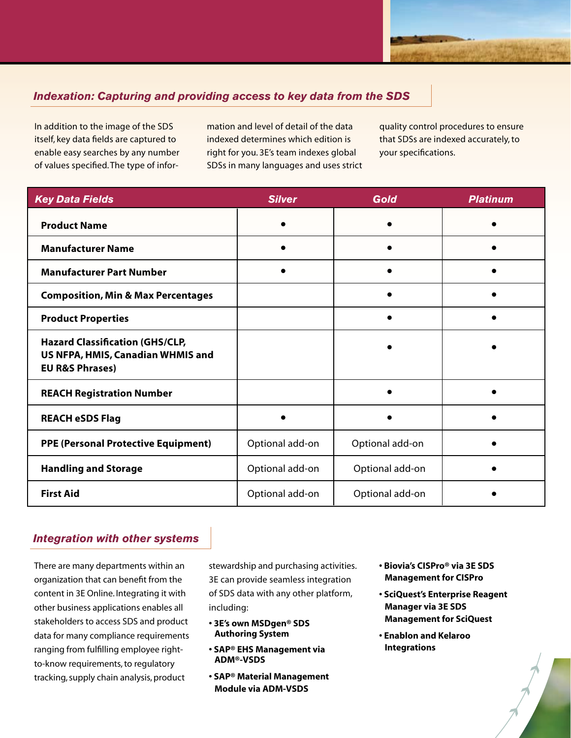# *Indexation: Capturing and providing access to key data from the SDS*

In addition to the image of the SDS itself, key data fields are captured to enable easy searches by any number of values specified. The type of information and level of detail of the data indexed determines which edition is right for you. 3E's team indexes global SDSs in many languages and uses strict

quality control procedures to ensure that SDSs are indexed accurately, to your specifications.

| <b>Key Data Fields</b>                                                                                    | <b>Silver</b>   | Gold            | <b>Platinum</b> |
|-----------------------------------------------------------------------------------------------------------|-----------------|-----------------|-----------------|
| <b>Product Name</b>                                                                                       |                 |                 |                 |
| <b>Manufacturer Name</b>                                                                                  |                 |                 |                 |
| <b>Manufacturer Part Number</b>                                                                           |                 |                 |                 |
| <b>Composition, Min &amp; Max Percentages</b>                                                             |                 |                 |                 |
| <b>Product Properties</b>                                                                                 |                 |                 |                 |
| <b>Hazard Classification (GHS/CLP,</b><br>US NFPA, HMIS, Canadian WHMIS and<br><b>EU R&amp;S Phrases)</b> |                 |                 |                 |
| <b>REACH Registration Number</b>                                                                          |                 |                 |                 |
| <b>REACH eSDS Flag</b>                                                                                    |                 |                 |                 |
| <b>PPE (Personal Protective Equipment)</b>                                                                | Optional add-on | Optional add-on |                 |
| <b>Handling and Storage</b>                                                                               | Optional add-on | Optional add-on |                 |
| <b>First Aid</b>                                                                                          | Optional add-on | Optional add-on |                 |

# *Integration with other systems*

There are many departments within an organization that can benefit from the content in 3E Online. Integrating it with other business applications enables all stakeholders to access SDS and product data for many compliance requirements ranging from fulfilling employee rightto-know requirements, to regulatory tracking, supply chain analysis, product

stewardship and purchasing activities. 3E can provide seamless integration of SDS data with any other platform, including:

- **3E's own MSDgen® SDS Authoring System**
- **SAP® EHS Management via ADM®-VSDS**
- **SAP® Material Management Module via ADM-VSDS**
- **Biovia's CISPro® via 3E SDS Management for CISPro**
- **SciQuest's Enterprise Reagent Manager via 3E SDS Management for SciQuest**
- **Enablon and Kelaroo Integrations**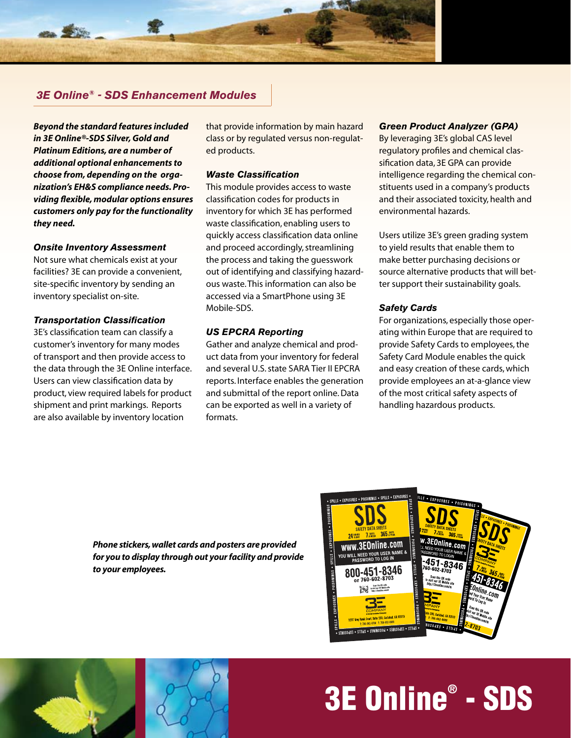

# *3E Online® - SDS Enhancement Modules*

*Beyond the standard features included in 3E Online®-SDS Silver, Gold and Platinum Editions, are a number of additional optional enhancements to choose from, depending on the organization's EH&S compliance needs. Providing flexible, modular options ensures customers only pay for the functionality they need.* 

#### *Onsite Inventory Assessment*

Not sure what chemicals exist at your facilities? 3E can provide a convenient, site-specific inventory by sending an inventory specialist on-site.

#### *Transportation Classification*

3E's classification team can classify a customer's inventory for many modes of transport and then provide access to the data through the 3E Online interface. Users can view classification data by product, view required labels for product shipment and print markings. Reports are also available by inventory location

that provide information by main hazard class or by regulated versus non-regulated products.

#### *Waste Classification*

This module provides access to waste classification codes for products in inventory for which 3E has performed waste classification, enabling users to quickly access classification data online and proceed accordingly, streamlining the process and taking the guesswork out of identifying and classifying hazardous waste. This information can also be accessed via a SmartPhone using 3E Mobile-SDS.

#### *US EPCRA Reporting*

Gather and analyze chemical and product data from your inventory for federal and several U.S. state SARA Tier II EPCRA reports. Interface enables the generation and submittal of the report online. Data can be exported as well in a variety of formats.

#### *Green Product Analyzer (GPA)*

By leveraging 3E's global CAS level regulatory profiles and chemical classification data, 3E GPA can provide intelligence regarding the chemical constituents used in a company's products and their associated toxicity, health and environmental hazards.

Users utilize 3E's green grading system to yield results that enable them to make better purchasing decisions or source alternative products that will better support their sustainability goals.

#### *Safety Cards*

For organizations, especially those operating within Europe that are required to provide Safety Cards to employees, the Safety Card Module enables the quick and easy creation of these cards, which provide employees an at-a-glance view of the most critical safety aspects of handling hazardous products.

*Phone stickers, wallet cards and posters are provided for you to display through out your facility and provide to your employees.*





# 3E Online® - SDS